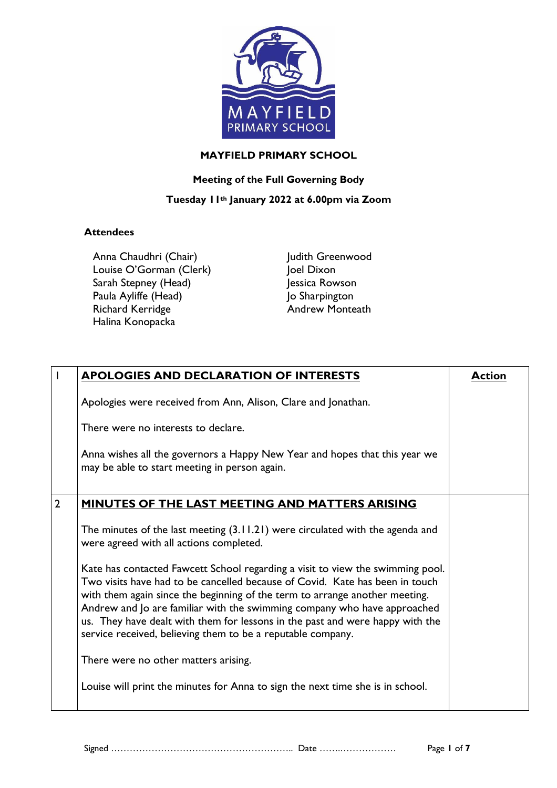

#### **MAYFIELD PRIMARY SCHOOL**

## **Meeting of the Full Governing Body**

## **Tuesday 11th January 2022 at 6.00pm via Zoom**

### **Attendees**

Anna Chaudhri (Chair) Louise O'Gorman (Clerk) Sarah Stepney (Head) Paula Ayliffe (Head) Richard Kerridge Halina Konopacka

Judith Greenwood Joel Dixon Jessica Rowson Jo Sharpington Andrew Monteath

| $\mathsf{l}$   | <b>APOLOGIES AND DECLARATION OF INTERESTS</b>                                                                                                                                                                                                                                                                                                                                                                                                                             | <b>Action</b> |
|----------------|---------------------------------------------------------------------------------------------------------------------------------------------------------------------------------------------------------------------------------------------------------------------------------------------------------------------------------------------------------------------------------------------------------------------------------------------------------------------------|---------------|
|                | Apologies were received from Ann, Alison, Clare and Jonathan.                                                                                                                                                                                                                                                                                                                                                                                                             |               |
|                | There were no interests to declare.                                                                                                                                                                                                                                                                                                                                                                                                                                       |               |
|                | Anna wishes all the governors a Happy New Year and hopes that this year we<br>may be able to start meeting in person again.                                                                                                                                                                                                                                                                                                                                               |               |
| $\overline{2}$ | MINUTES OF THE LAST MEETING AND MATTERS ARISING                                                                                                                                                                                                                                                                                                                                                                                                                           |               |
|                | The minutes of the last meeting $(3.11.21)$ were circulated with the agenda and<br>were agreed with all actions completed.                                                                                                                                                                                                                                                                                                                                                |               |
|                | Kate has contacted Fawcett School regarding a visit to view the swimming pool.<br>Two visits have had to be cancelled because of Covid. Kate has been in touch<br>with them again since the beginning of the term to arrange another meeting.<br>Andrew and Jo are familiar with the swimming company who have approached<br>us. They have dealt with them for lessons in the past and were happy with the<br>service received, believing them to be a reputable company. |               |
|                | There were no other matters arising.                                                                                                                                                                                                                                                                                                                                                                                                                                      |               |
|                | Louise will print the minutes for Anna to sign the next time she is in school.                                                                                                                                                                                                                                                                                                                                                                                            |               |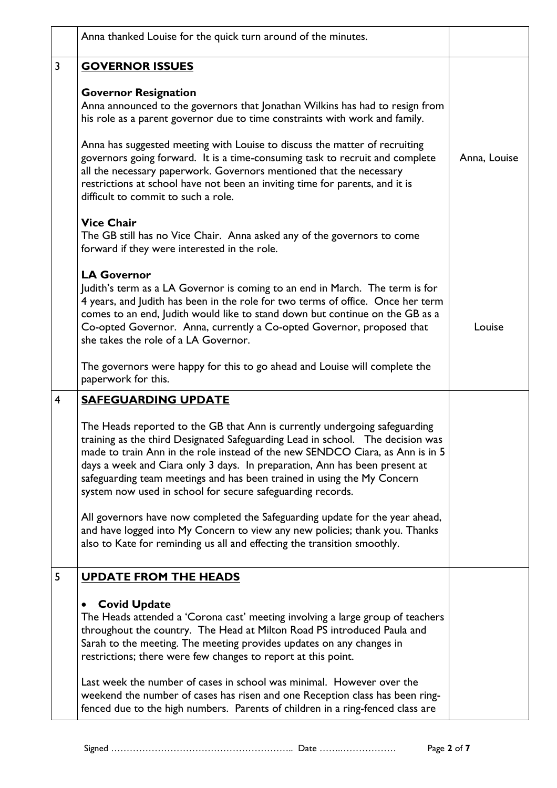|                | Anna thanked Louise for the quick turn around of the minutes.                                                                                                                                                                                                                                                                                                                                                                                                                                                                                          |              |
|----------------|--------------------------------------------------------------------------------------------------------------------------------------------------------------------------------------------------------------------------------------------------------------------------------------------------------------------------------------------------------------------------------------------------------------------------------------------------------------------------------------------------------------------------------------------------------|--------------|
| $\overline{3}$ | <b>GOVERNOR ISSUES</b>                                                                                                                                                                                                                                                                                                                                                                                                                                                                                                                                 |              |
|                | <b>Governor Resignation</b><br>Anna announced to the governors that Jonathan Wilkins has had to resign from<br>his role as a parent governor due to time constraints with work and family.<br>Anna has suggested meeting with Louise to discuss the matter of recruiting<br>governors going forward. It is a time-consuming task to recruit and complete<br>all the necessary paperwork. Governors mentioned that the necessary<br>restrictions at school have not been an inviting time for parents, and it is<br>difficult to commit to such a role. | Anna, Louise |
|                | <b>Vice Chair</b><br>The GB still has no Vice Chair. Anna asked any of the governors to come<br>forward if they were interested in the role.                                                                                                                                                                                                                                                                                                                                                                                                           |              |
|                | <b>LA Governor</b><br>Judith's term as a LA Governor is coming to an end in March. The term is for<br>4 years, and Judith has been in the role for two terms of office. Once her term<br>comes to an end, Judith would like to stand down but continue on the GB as a<br>Co-opted Governor. Anna, currently a Co-opted Governor, proposed that<br>she takes the role of a LA Governor.                                                                                                                                                                 | Louise       |
|                | The governors were happy for this to go ahead and Louise will complete the<br>paperwork for this.                                                                                                                                                                                                                                                                                                                                                                                                                                                      |              |
| $\overline{4}$ | <b>SAFEGUARDING UPDATE</b>                                                                                                                                                                                                                                                                                                                                                                                                                                                                                                                             |              |
|                | The Heads reported to the GB that Ann is currently undergoing safeguarding<br>training as the third Designated Safeguarding Lead in school. The decision was<br>made to train Ann in the role instead of the new SENDCO Ciara, as Ann is in 5<br>days a week and Ciara only 3 days. In preparation, Ann has been present at<br>safeguarding team meetings and has been trained in using the My Concern<br>system now used in school for secure safeguarding records.                                                                                   |              |
|                | All governors have now completed the Safeguarding update for the year ahead,<br>and have logged into My Concern to view any new policies; thank you. Thanks<br>also to Kate for reminding us all and effecting the transition smoothly.                                                                                                                                                                                                                                                                                                                |              |
| 5              | <b>UPDATE FROM THE HEADS</b>                                                                                                                                                                                                                                                                                                                                                                                                                                                                                                                           |              |
|                | <b>Covid Update</b><br>The Heads attended a 'Corona cast' meeting involving a large group of teachers<br>throughout the country. The Head at Milton Road PS introduced Paula and<br>Sarah to the meeting. The meeting provides updates on any changes in<br>restrictions; there were few changes to report at this point.                                                                                                                                                                                                                              |              |
|                | Last week the number of cases in school was minimal. However over the<br>weekend the number of cases has risen and one Reception class has been ring-<br>fenced due to the high numbers. Parents of children in a ring-fenced class are                                                                                                                                                                                                                                                                                                                |              |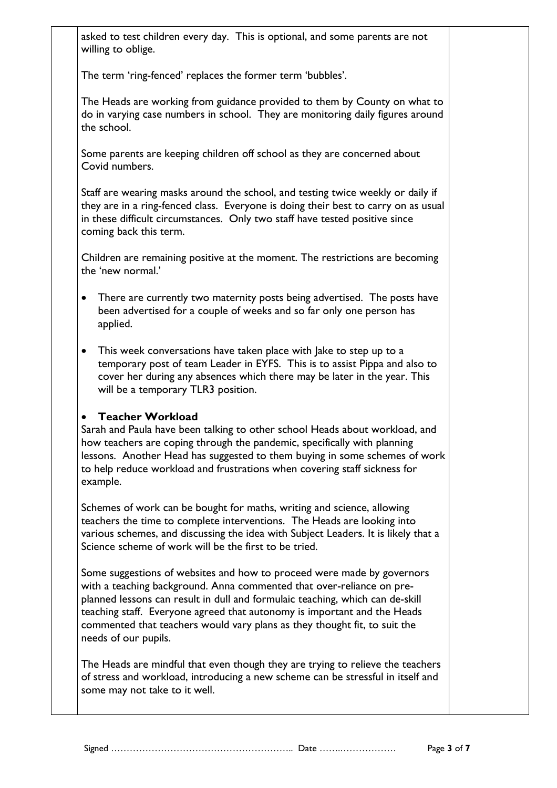asked to test children every day. This is optional, and some parents are not willing to oblige.

The term 'ring-fenced' replaces the former term 'bubbles'.

The Heads are working from guidance provided to them by County on what to do in varying case numbers in school. They are monitoring daily figures around the school.

Some parents are keeping children off school as they are concerned about Covid numbers.

Staff are wearing masks around the school, and testing twice weekly or daily if they are in a ring-fenced class. Everyone is doing their best to carry on as usual in these difficult circumstances. Only two staff have tested positive since coming back this term.

Children are remaining positive at the moment. The restrictions are becoming the 'new normal.'

- There are currently two maternity posts being advertised. The posts have been advertised for a couple of weeks and so far only one person has applied.
- This week conversations have taken place with Jake to step up to a temporary post of team Leader in EYFS. This is to assist Pippa and also to cover her during any absences which there may be later in the year. This will be a temporary TLR3 position.

# **Teacher Workload**

Sarah and Paula have been talking to other school Heads about workload, and how teachers are coping through the pandemic, specifically with planning lessons. Another Head has suggested to them buying in some schemes of work to help reduce workload and frustrations when covering staff sickness for example.

Schemes of work can be bought for maths, writing and science, allowing teachers the time to complete interventions. The Heads are looking into various schemes, and discussing the idea with Subject Leaders. It is likely that a Science scheme of work will be the first to be tried.

Some suggestions of websites and how to proceed were made by governors with a teaching background. Anna commented that over-reliance on preplanned lessons can result in dull and formulaic teaching, which can de-skill teaching staff. Everyone agreed that autonomy is important and the Heads commented that teachers would vary plans as they thought fit, to suit the needs of our pupils.

The Heads are mindful that even though they are trying to relieve the teachers of stress and workload, introducing a new scheme can be stressful in itself and some may not take to it well.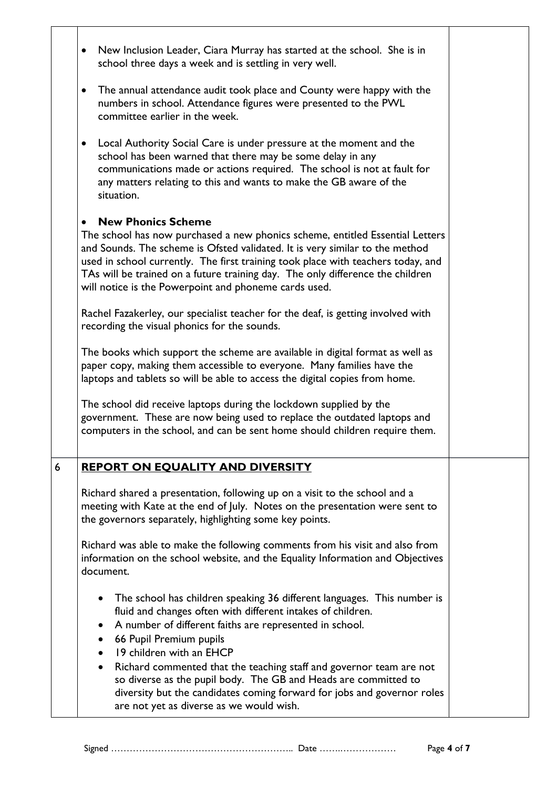|   | New Inclusion Leader, Ciara Murray has started at the school. She is in<br>$\bullet$<br>school three days a week and is settling in very well.                                                                                                                                                                                                                                                                                                                                             |  |
|---|--------------------------------------------------------------------------------------------------------------------------------------------------------------------------------------------------------------------------------------------------------------------------------------------------------------------------------------------------------------------------------------------------------------------------------------------------------------------------------------------|--|
|   | The annual attendance audit took place and County were happy with the<br>$\bullet$<br>numbers in school. Attendance figures were presented to the PWL<br>committee earlier in the week.                                                                                                                                                                                                                                                                                                    |  |
|   | Local Authority Social Care is under pressure at the moment and the<br>٠<br>school has been warned that there may be some delay in any<br>communications made or actions required. The school is not at fault for<br>any matters relating to this and wants to make the GB aware of the<br>situation.                                                                                                                                                                                      |  |
|   | <b>New Phonics Scheme</b><br>The school has now purchased a new phonics scheme, entitled Essential Letters<br>and Sounds. The scheme is Ofsted validated. It is very similar to the method<br>used in school currently. The first training took place with teachers today, and<br>TAs will be trained on a future training day. The only difference the children<br>will notice is the Powerpoint and phoneme cards used.                                                                  |  |
|   | Rachel Fazakerley, our specialist teacher for the deaf, is getting involved with<br>recording the visual phonics for the sounds.                                                                                                                                                                                                                                                                                                                                                           |  |
|   | The books which support the scheme are available in digital format as well as<br>paper copy, making them accessible to everyone. Many families have the<br>laptops and tablets so will be able to access the digital copies from home.                                                                                                                                                                                                                                                     |  |
|   | The school did receive laptops during the lockdown supplied by the<br>government. These are now being used to replace the outdated laptops and<br>computers in the school, and can be sent home should children require them.                                                                                                                                                                                                                                                              |  |
| 6 | REPORT ON EQUALITY AND DIVERSITY                                                                                                                                                                                                                                                                                                                                                                                                                                                           |  |
|   | Richard shared a presentation, following up on a visit to the school and a<br>meeting with Kate at the end of July. Notes on the presentation were sent to<br>the governors separately, highlighting some key points.                                                                                                                                                                                                                                                                      |  |
|   | Richard was able to make the following comments from his visit and also from<br>information on the school website, and the Equality Information and Objectives<br>document.                                                                                                                                                                                                                                                                                                                |  |
|   | The school has children speaking 36 different languages. This number is<br>fluid and changes often with different intakes of children.<br>A number of different faiths are represented in school.<br>66 Pupil Premium pupils<br>19 children with an EHCP<br>Richard commented that the teaching staff and governor team are not<br>$\bullet$<br>so diverse as the pupil body. The GB and Heads are committed to<br>diversity but the candidates coming forward for jobs and governor roles |  |
|   | are not yet as diverse as we would wish.                                                                                                                                                                                                                                                                                                                                                                                                                                                   |  |

Signed ………………………………………………….. Date …….……………… Page **4** of **7**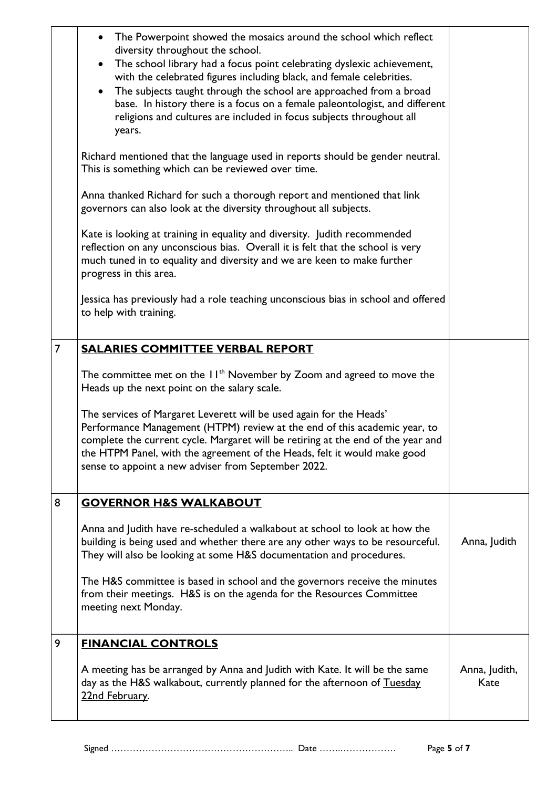|                | The Powerpoint showed the mosaics around the school which reflect<br>diversity throughout the school.<br>The school library had a focus point celebrating dyslexic achievement,<br>$\bullet$<br>with the celebrated figures including black, and female celebrities.<br>The subjects taught through the school are approached from a broad<br>$\bullet$<br>base. In history there is a focus on a female paleontologist, and different<br>religions and cultures are included in focus subjects throughout all<br>years. |                       |
|----------------|--------------------------------------------------------------------------------------------------------------------------------------------------------------------------------------------------------------------------------------------------------------------------------------------------------------------------------------------------------------------------------------------------------------------------------------------------------------------------------------------------------------------------|-----------------------|
|                | Richard mentioned that the language used in reports should be gender neutral.<br>This is something which can be reviewed over time.                                                                                                                                                                                                                                                                                                                                                                                      |                       |
|                | Anna thanked Richard for such a thorough report and mentioned that link<br>governors can also look at the diversity throughout all subjects.                                                                                                                                                                                                                                                                                                                                                                             |                       |
|                | Kate is looking at training in equality and diversity. Judith recommended<br>reflection on any unconscious bias. Overall it is felt that the school is very<br>much tuned in to equality and diversity and we are keen to make further<br>progress in this area.                                                                                                                                                                                                                                                         |                       |
|                | Jessica has previously had a role teaching unconscious bias in school and offered<br>to help with training.                                                                                                                                                                                                                                                                                                                                                                                                              |                       |
| $\overline{7}$ | <b>SALARIES COMMITTEE VERBAL REPORT</b>                                                                                                                                                                                                                                                                                                                                                                                                                                                                                  |                       |
|                | The committee met on the $H^{\text{th}}$ November by Zoom and agreed to move the<br>Heads up the next point on the salary scale.                                                                                                                                                                                                                                                                                                                                                                                         |                       |
|                | The services of Margaret Leverett will be used again for the Heads'<br>Performance Management (HTPM) review at the end of this academic year, to<br>complete the current cycle. Margaret will be retiring at the end of the year and<br>the HTPM Panel, with the agreement of the Heads, felt it would make good<br>sense to appoint a new adviser from September 2022.                                                                                                                                                  |                       |
| 8              | <b>GOVERNOR H&amp;S WALKABOUT</b>                                                                                                                                                                                                                                                                                                                                                                                                                                                                                        |                       |
|                | Anna and Judith have re-scheduled a walkabout at school to look at how the<br>building is being used and whether there are any other ways to be resourceful.<br>They will also be looking at some H&S documentation and procedures.                                                                                                                                                                                                                                                                                      | Anna, Judith          |
|                | The H&S committee is based in school and the governors receive the minutes<br>from their meetings. H&S is on the agenda for the Resources Committee<br>meeting next Monday.                                                                                                                                                                                                                                                                                                                                              |                       |
| 9              | <b>FINANCIAL CONTROLS</b>                                                                                                                                                                                                                                                                                                                                                                                                                                                                                                |                       |
|                | A meeting has be arranged by Anna and Judith with Kate. It will be the same<br>day as the H&S walkabout, currently planned for the afternoon of Tuesday<br>22nd February.                                                                                                                                                                                                                                                                                                                                                | Anna, Judith,<br>Kate |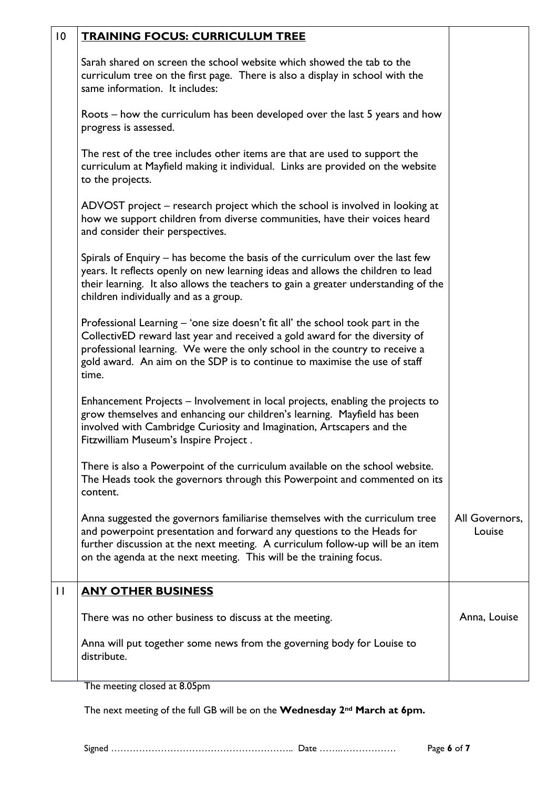| $\overline{0}$ | <b>TRAINING FOCUS: CURRICULUM TREE</b>                                                                                                                                                                                                                                                                                            |                          |
|----------------|-----------------------------------------------------------------------------------------------------------------------------------------------------------------------------------------------------------------------------------------------------------------------------------------------------------------------------------|--------------------------|
|                | Sarah shared on screen the school website which showed the tab to the<br>curriculum tree on the first page. There is also a display in school with the<br>same information. It includes:                                                                                                                                          |                          |
|                | Roots – how the curriculum has been developed over the last 5 years and how<br>progress is assessed.                                                                                                                                                                                                                              |                          |
|                | The rest of the tree includes other items are that are used to support the<br>curriculum at Mayfield making it individual. Links are provided on the website<br>to the projects.                                                                                                                                                  |                          |
|                | ADVOST project – research project which the school is involved in looking at<br>how we support children from diverse communities, have their voices heard<br>and consider their perspectives.                                                                                                                                     |                          |
|                | Spirals of Enquiry – has become the basis of the curriculum over the last few<br>years. It reflects openly on new learning ideas and allows the children to lead<br>their learning. It also allows the teachers to gain a greater understanding of the<br>children individually and as a group.                                   |                          |
|                | Professional Learning - 'one size doesn't fit all' the school took part in the<br>CollectivED reward last year and received a gold award for the diversity of<br>professional learning. We were the only school in the country to receive a<br>gold award. An aim on the SDP is to continue to maximise the use of staff<br>time. |                          |
|                | Enhancement Projects – Involvement in local projects, enabling the projects to<br>grow themselves and enhancing our children's learning. Mayfield has been<br>involved with Cambridge Curiosity and Imagination, Artscapers and the<br>Fitzwilliam Museum's Inspire Project.                                                      |                          |
|                | There is also a Powerpoint of the curriculum available on the school website.<br>The Heads took the governors through this Powerpoint and commented on its<br>content.                                                                                                                                                            |                          |
|                | Anna suggested the governors familiarise themselves with the curriculum tree<br>and powerpoint presentation and forward any questions to the Heads for<br>further discussion at the next meeting. A curriculum follow-up will be an item<br>on the agenda at the next meeting. This will be the training focus.                   | All Governors,<br>Louise |
| $\mathbf{I}$   | <b>ANY OTHER BUSINESS</b>                                                                                                                                                                                                                                                                                                         |                          |
|                | There was no other business to discuss at the meeting.                                                                                                                                                                                                                                                                            | Anna, Louise             |
|                | Anna will put together some news from the governing body for Louise to<br>distribute.                                                                                                                                                                                                                                             |                          |

The meeting closed at 8.05pm

The next meeting of the full GB will be on the **Wednesday 2nd March at 6pm.**